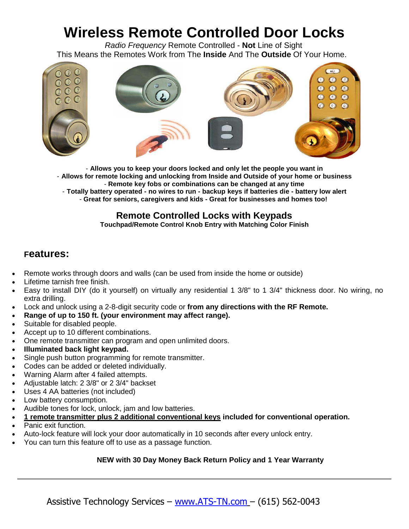# **Wireless Remote Controlled Door Locks**

*Radio Frequency* Remote Controlled - **Not** Line of Sight This Means the Remotes Work from The **Inside** And The **Outside** Of Your Home.



- **Allows you to keep your doors locked and only let the people you want in** - **Allows for remote locking and unlocking from Inside and Outside of your home or business** - **Remote key fobs or combinations can be changed at any time** - **Totally battery operated - no wires to run - backup keys if batteries die - battery low alert** - **Great for seniors, caregivers and kids - Great for businesses and homes too!**

## **Remote Controlled Locks with Keypads**

**Touchpad/Remote Control Knob Entry with Matching Color Finish**

### **Features:**

- Remote works through doors and walls (can be used from inside the home or outside)
- Lifetime tarnish free finish.
- Easy to install DIY (do it yourself) on virtually any residential 1 3/8" to 1 3/4" thickness door. No wiring, no extra drilling.
- Lock and unlock using a 2-8-digit security code or **from any directions with the RF Remote.**
- **Range of up to 150 ft. (your environment may affect range).**
- Suitable for disabled people.
- Accept up to 10 different combinations.
- One remote transmitter can program and open unlimited doors.
- **Illuminated back light keypad.**
- Single push button programming for remote transmitter.
- Codes can be added or deleted individually.
- Warning Alarm after 4 failed attempts.
- Adjustable latch: 2 3/8" or 2 3/4" backset
- Uses 4 AA batteries (not included)
- Low battery consumption.
- Audible tones for lock, unlock, jam and low batteries.
- **1 remote transmitter plus 2 additional conventional keys included for conventional operation.**
- Panic exit function.
- Auto-lock feature will lock your door automatically in 10 seconds after every unlock entry.
- You can turn this feature off to use as a passage function.

#### **NEW with 30 Day Money Back Return Policy and 1 Year Warranty**